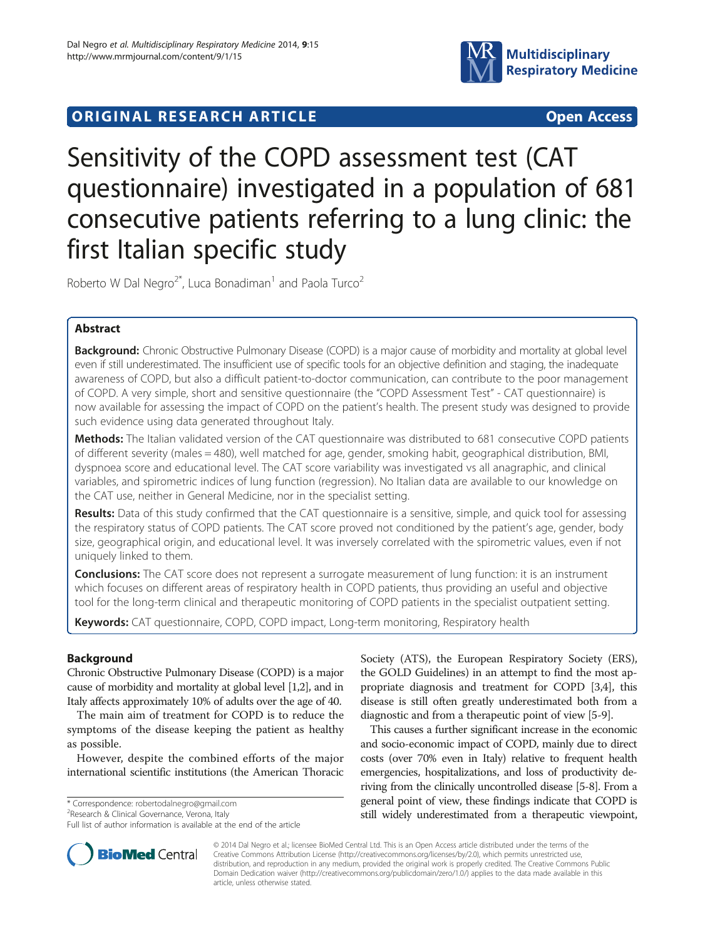

# **ORIGINAL RESEARCH ARTICLE CONSUMING ACCESS**

# Sensitivity of the COPD assessment test (CAT questionnaire) investigated in a population of 681 consecutive patients referring to a lung clinic: the first Italian specific study

Roberto W Dal Negro<sup>2\*</sup>, Luca Bonadiman<sup>1</sup> and Paola Turco<sup>2</sup>

## Abstract

Background: Chronic Obstructive Pulmonary Disease (COPD) is a major cause of morbidity and mortality at global level even if still underestimated. The insufficient use of specific tools for an objective definition and staging, the inadequate awareness of COPD, but also a difficult patient-to-doctor communication, can contribute to the poor management of COPD. A very simple, short and sensitive questionnaire (the "COPD Assessment Test" - CAT questionnaire) is now available for assessing the impact of COPD on the patient's health. The present study was designed to provide such evidence using data generated throughout Italy.

Methods: The Italian validated version of the CAT questionnaire was distributed to 681 consecutive COPD patients of different severity (males = 480), well matched for age, gender, smoking habit, geographical distribution, BMI, dyspnoea score and educational level. The CAT score variability was investigated vs all anagraphic, and clinical variables, and spirometric indices of lung function (regression). No Italian data are available to our knowledge on the CAT use, neither in General Medicine, nor in the specialist setting.

Results: Data of this study confirmed that the CAT questionnaire is a sensitive, simple, and quick tool for assessing the respiratory status of COPD patients. The CAT score proved not conditioned by the patient's age, gender, body size, geographical origin, and educational level. It was inversely correlated with the spirometric values, even if not uniquely linked to them.

**Conclusions:** The CAT score does not represent a surrogate measurement of lung function: it is an instrument which focuses on different areas of respiratory health in COPD patients, thus providing an useful and objective tool for the long-term clinical and therapeutic monitoring of COPD patients in the specialist outpatient setting.

Keywords: CAT questionnaire, COPD, COPD impact, Long-term monitoring, Respiratory health

## Background

Chronic Obstructive Pulmonary Disease (COPD) is a major cause of morbidity and mortality at global level [[1,2\]](#page-5-0), and in Italy affects approximately 10% of adults over the age of 40.

The main aim of treatment for COPD is to reduce the symptoms of the disease keeping the patient as healthy as possible.

However, despite the combined efforts of the major international scientific institutions (the American Thoracic

\* Correspondence: [robertodalnegro@gmail.com](mailto:robertodalnegro@gmail.com) <sup>2</sup>

<sup>2</sup>Research & Clinical Governance, Verona, Italy

Full list of author information is available at the end of the article

Society (ATS), the European Respiratory Society (ERS), the GOLD Guidelines) in an attempt to find the most appropriate diagnosis and treatment for COPD [\[3,4\]](#page-5-0), this disease is still often greatly underestimated both from a diagnostic and from a therapeutic point of view [\[5](#page-5-0)[-9](#page-6-0)].

This causes a further significant increase in the economic and socio-economic impact of COPD, mainly due to direct costs (over 70% even in Italy) relative to frequent health emergencies, hospitalizations, and loss of productivity deriving from the clinically uncontrolled disease [[5](#page-5-0)-[8](#page-5-0)]. From a general point of view, these findings indicate that COPD is still widely underestimated from a therapeutic viewpoint,



© 2014 Dal Negro et al.; licensee BioMed Central Ltd. This is an Open Access article distributed under the terms of the Creative Commons Attribution License (<http://creativecommons.org/licenses/by/2.0>), which permits unrestricted use, distribution, and reproduction in any medium, provided the original work is properly credited. The Creative Commons Public Domain Dedication waiver [\(http://creativecommons.org/publicdomain/zero/1.0/\)](http://creativecommons.org/publicdomain/zero/1.0/) applies to the data made available in this article, unless otherwise stated.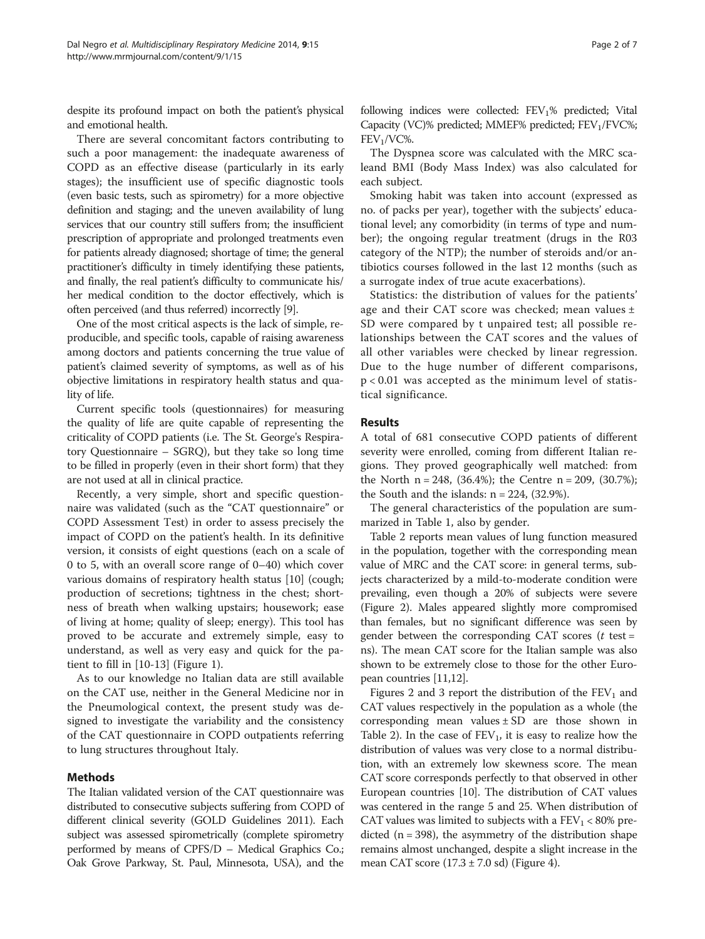despite its profound impact on both the patient's physical and emotional health.

There are several concomitant factors contributing to such a poor management: the inadequate awareness of COPD as an effective disease (particularly in its early stages); the insufficient use of specific diagnostic tools (even basic tests, such as spirometry) for a more objective definition and staging; and the uneven availability of lung services that our country still suffers from; the insufficient prescription of appropriate and prolonged treatments even for patients already diagnosed; shortage of time; the general practitioner's difficulty in timely identifying these patients, and finally, the real patient's difficulty to communicate his/ her medical condition to the doctor effectively, which is often perceived (and thus referred) incorrectly [\[9](#page-6-0)].

One of the most critical aspects is the lack of simple, reproducible, and specific tools, capable of raising awareness among doctors and patients concerning the true value of patient's claimed severity of symptoms, as well as of his objective limitations in respiratory health status and quality of life.

Current specific tools (questionnaires) for measuring the quality of life are quite capable of representing the criticality of COPD patients (i.e. The St. George's Respiratory Questionnaire – SGRQ), but they take so long time to be filled in properly (even in their short form) that they are not used at all in clinical practice.

Recently, a very simple, short and specific questionnaire was validated (such as the "CAT questionnaire" or COPD Assessment Test) in order to assess precisely the impact of COPD on the patient's health. In its definitive version, it consists of eight questions (each on a scale of 0 to 5, with an overall score range of 0–40) which cover various domains of respiratory health status [\[10](#page-6-0)] (cough; production of secretions; tightness in the chest; shortness of breath when walking upstairs; housework; ease of living at home; quality of sleep; energy). This tool has proved to be accurate and extremely simple, easy to understand, as well as very easy and quick for the patient to fill in [\[10-13](#page-6-0)] (Figure [1](#page-2-0)).

As to our knowledge no Italian data are still available on the CAT use, neither in the General Medicine nor in the Pneumological context, the present study was designed to investigate the variability and the consistency of the CAT questionnaire in COPD outpatients referring to lung structures throughout Italy.

#### Methods

The Italian validated version of the CAT questionnaire was distributed to consecutive subjects suffering from COPD of different clinical severity (GOLD Guidelines 2011). Each subject was assessed spirometrically (complete spirometry performed by means of CPFS/D – Medical Graphics Co.; Oak Grove Parkway, St. Paul, Minnesota, USA), and the following indices were collected:  $FEV<sub>1</sub>%$  predicted; Vital Capacity (VC)% predicted; MMEF% predicted;  $FEV<sub>1</sub>/FVC$ %;  $FEV<sub>1</sub>/VC%$ .

The Dyspnea score was calculated with the MRC scaleand BMI (Body Mass Index) was also calculated for each subject.

Smoking habit was taken into account (expressed as no. of packs per year), together with the subjects' educational level; any comorbidity (in terms of type and number); the ongoing regular treatment (drugs in the R03 category of the NTP); the number of steroids and/or antibiotics courses followed in the last 12 months (such as a surrogate index of true acute exacerbations).

Statistics: the distribution of values for the patients' age and their CAT score was checked; mean values ± SD were compared by t unpaired test; all possible relationships between the CAT scores and the values of all other variables were checked by linear regression. Due to the huge number of different comparisons, p < 0.01 was accepted as the minimum level of statistical significance.

#### Results

A total of 681 consecutive COPD patients of different severity were enrolled, coming from different Italian regions. They proved geographically well matched: from the North  $n = 248$ , (36.4%); the Centre  $n = 209$ , (30.7%); the South and the islands:  $n = 224$ , (32.9%).

The general characteristics of the population are summarized in Table [1](#page-3-0), also by gender.

Table [2](#page-3-0) reports mean values of lung function measured in the population, together with the corresponding mean value of MRC and the CAT score: in general terms, subjects characterized by a mild-to-moderate condition were prevailing, even though a 20% of subjects were severe (Figure [2](#page-4-0)). Males appeared slightly more compromised than females, but no significant difference was seen by gender between the corresponding CAT scores  $(t \text{ test} =$ ns). The mean CAT score for the Italian sample was also shown to be extremely close to those for the other European countries [\[11,12\]](#page-6-0).

Figures [2](#page-4-0) and [3](#page-4-0) report the distribution of the  $FEV<sub>1</sub>$  and CAT values respectively in the population as a whole (the corresponding mean values  $\pm$  SD are those shown in Table [2](#page-3-0)). In the case of  $FEV_1$ , it is easy to realize how the distribution of values was very close to a normal distribution, with an extremely low skewness score. The mean CAT score corresponds perfectly to that observed in other European countries [[10\]](#page-6-0). The distribution of CAT values was centered in the range 5 and 25. When distribution of CAT values was limited to subjects with a  $FEV<sub>1</sub> < 80%$  predicted ( $n = 398$ ), the asymmetry of the distribution shape remains almost unchanged, despite a slight increase in the mean CAT score  $(17.3 \pm 7.0 \text{ sd})$  (Figure [4](#page-5-0)).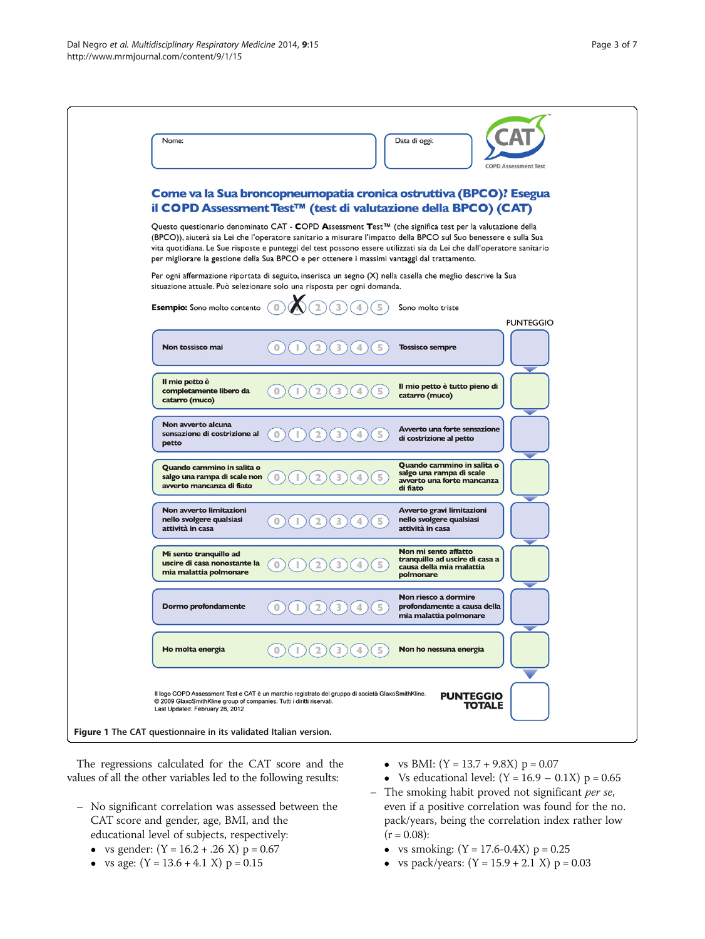<span id="page-2-0"></span>

| Nome:                                                                                                    |                                                                                                                                                                                                                                                                                                                                                                                                                                                       | Data di oggi:                                                                                    | <b>COPD Assessment Test</b> |
|----------------------------------------------------------------------------------------------------------|-------------------------------------------------------------------------------------------------------------------------------------------------------------------------------------------------------------------------------------------------------------------------------------------------------------------------------------------------------------------------------------------------------------------------------------------------------|--------------------------------------------------------------------------------------------------|-----------------------------|
|                                                                                                          | Come va la Sua broncopneumopatia cronica ostruttiva (BPCO)? Esegua<br>il COPD Assessment Test™ (test di valutazione della BPCO) (CAT)                                                                                                                                                                                                                                                                                                                 |                                                                                                  |                             |
|                                                                                                          | Questo questionario denominato CAT - COPD Assessment Test™ (che significa test per la valutazione della<br>(BPCO)), aiuterà sia Lei che l'operatore sanitario a misurare l'impatto della BPCO sul Suo benessere e sulla Sua<br>vita quotidiana. Le Sue risposte e punteggi del test possono essere utilizzati sia da Lei che dall'operatore sanitario<br>per migliorare la gestione della Sua BPCO e per ottenere i massimi vantaggi dal trattamento. |                                                                                                  |                             |
|                                                                                                          | Per ogni affermazione riportata di seguito, inserisca un segno (X) nella casella che meglio descrive la Sua<br>situazione attuale. Può selezionare solo una risposta per ogni domanda.                                                                                                                                                                                                                                                                |                                                                                                  |                             |
| <b>Esempio:</b> Sono molto contento                                                                      |                                                                                                                                                                                                                                                                                                                                                                                                                                                       | Sono molto triste                                                                                |                             |
| Non tossisco mai                                                                                         | 0<br>3<br>4                                                                                                                                                                                                                                                                                                                                                                                                                                           | <b>Tossisco sempre</b>                                                                           | <b>PUNTEGGIO</b>            |
| Il mio petto è<br>completamente libero da<br>catarro (muco)                                              |                                                                                                                                                                                                                                                                                                                                                                                                                                                       | Il mio petto è tutto pieno di<br>catarro (muco)                                                  |                             |
| Non avverto alcuna<br>sensazione di costrizione al<br>petto                                              |                                                                                                                                                                                                                                                                                                                                                                                                                                                       | Avverto una forte sensazione<br>di costrizione al petto                                          |                             |
| Quando cammino in salita o<br>salgo una rampa di scale non<br>avverto mancanza di fiato                  |                                                                                                                                                                                                                                                                                                                                                                                                                                                       | Quando cammino in salita o<br>salgo una rampa di scale<br>avverto una forte mancanza<br>di fiato |                             |
| Non avverto limitazioni<br>nello svolgere qualsiasi<br>attività in casa                                  |                                                                                                                                                                                                                                                                                                                                                                                                                                                       | Avverto gravi limitazioni<br>nello svolgere qualsiasi<br>attività in casa                        |                             |
| Mi sento tranquillo ad<br>uscire di casa nonostante la<br>mia malattia polmonare                         | $\bf{0}$                                                                                                                                                                                                                                                                                                                                                                                                                                              | Non mi sento affatto<br>tranquillo ad uscire di casa a<br>causa della mia malattia<br>polmonare  |                             |
| Dormo profondamente                                                                                      | 3                                                                                                                                                                                                                                                                                                                                                                                                                                                     | Non riesco a dormire<br>profondamente a causa della<br>mia malattia polmonare                    |                             |
| Ho molta energia                                                                                         |                                                                                                                                                                                                                                                                                                                                                                                                                                                       | Non ho nessuna energia                                                                           |                             |
| © 2009 GlaxoSmithKline group of companies. Tutti i diritti riservati.<br>Last Updated: February 26, 2012 | Il logo COPD Assessment Test e CAT è un marchio registrato del gruppo di società GlaxoSmithKline.                                                                                                                                                                                                                                                                                                                                                     | <b>PUNTEGGIO</b><br><b>TOTALE</b>                                                                |                             |

The regressions calculated for the CAT score and the values of all the other variables led to the following results:

- No significant correlation was assessed between the CAT score and gender, age, BMI, and the educational level of subjects, respectively:
	- vs gender:  $(Y = 16.2 + .26 X) p = 0.67$
	- vs age:  $(Y = 13.6 + 4.1 \text{ X}) \text{ p} = 0.15$
- vs BMI:  $(Y = 13.7 + 9.8X) p = 0.07$
- Vs educational level:  $(Y = 16.9 0.1X) p = 0.65$
- The smoking habit proved not significant per se, even if a positive correlation was found for the no. pack/years, being the correlation index rather low  $(r = 0.08)$ :
	- vs smoking:  $(Y = 17.6 0.4X) p = 0.25$
	- vs pack/years:  $(Y = 15.9 + 2.1 \text{ X}) \text{ p} = 0.03$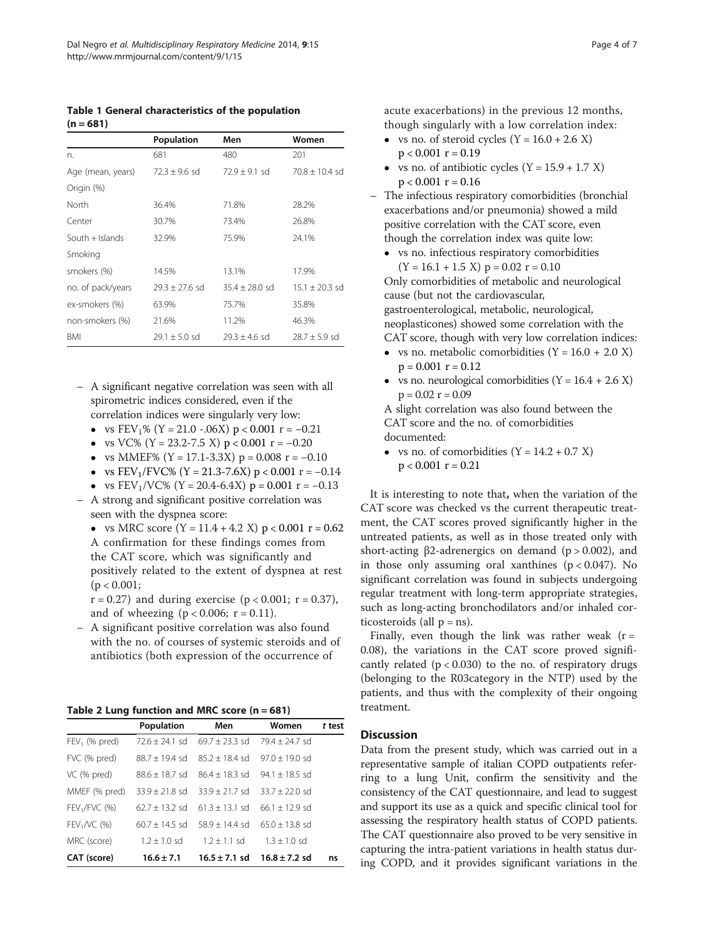<span id="page-3-0"></span>Table 1 General characteristics of the population  $(n = 681)$ 

|                   | Population       | Men             | Women            |
|-------------------|------------------|-----------------|------------------|
| n.                | 681              | 480             | 201              |
| Age (mean, years) | $72.3 + 9.6$ sd  | $72.9 + 9.1$ sd | $70.8 + 10.4$ sd |
| Origin (%)        |                  |                 |                  |
| North             | 36.4%            | 71.8%           | 28.2%            |
| Center            | 30.7%            | 73.4%           | 26.8%            |
| South $+$ Islands | 32.9%            | 75.9%           | 24.1%            |
| Smoking           |                  |                 |                  |
| smokers (%)       | 14.5%            | 13.1%           | 17.9%            |
| no. of pack/years | $29.3 + 27.6$ sd | $354 + 280$ sd  | $15.1 + 20.3$ sd |
| ex-smokers (%)    | 63.9%            | 75.7%           | 35.8%            |
| non-smokers (%)   | 21.6%            | 11.2%           | 46.3%            |
| <b>BMI</b>        | $29.1 + 5.0$ sd  | $29.3 + 4.6$ sd | $28.7 + 5.9$ sd  |

- A significant negative correlation was seen with all spirometric indices considered, even if the correlation indices were singularly very low:
	- vs FEV<sub>1</sub>% (Y = 21.0 -.06X)  $p < 0.001$  r = -0.21
	- vs VC% (Y = 23.2-7.5 X)  $p < 0.001$  r = -0.20
	- vs MMEF%  $(Y = 17.1-3.3X)$  p = 0.008 r = -0.10
	- vs  $FEV_1/FVC%$  (Y = 21.3-7.6X) p < 0.001 r = -0.14
- vs  $FEV_1/VC%$  (Y = 20.4-6.4X)  $p = 0.001$  r = -0.13 – A strong and significant positive correlation was
- seen with the dyspnea score:
	- vs MRC score  $(Y = 11.4 + 4.2 X) p < 0.001 r = 0.62$ A confirmation for these findings comes from the CAT score, which was significantly and positively related to the extent of dyspnea at rest  $(p < 0.001;$

 $r = 0.27$ ) and during exercise ( $p < 0.001$ ;  $r = 0.37$ ), and of wheezing  $(p < 0.006; r = 0.11)$ .

– A significant positive correlation was also found with the no. of courses of systemic steroids and of antibiotics (both expression of the occurrence of

#### Table 2 Lung function and MRC score  $(n = 681)$

|                  | Population       | Men               | Women             | t test |
|------------------|------------------|-------------------|-------------------|--------|
| $FEV_1$ (% pred) | $72.6 + 24.1$ sd | $69.7 + 23.3$ sd  | $79.4 + 24.7$ sd  |        |
| FVC (% pred)     | $88.7 + 19.4$ sd | $85.2 + 18.4$ sd  | $97.0 + 19.0$ sd  |        |
| VC (% pred)      | $88.6 + 18.7$ sd | $86.4 + 18.3$ sd  | $94.1 + 18.5$ sd  |        |
| MMEF (% pred)    | $33.9 + 21.8$ sd | $33.9 + 21.7$ sd  | $33.7 + 22.0$ sd  |        |
| $FEV1/FVC$ (%)   | $62.7 + 13.2$ sd | $61.3 + 13.1$ sd  | $66.1 + 12.9$ sd  |        |
| $FEV1/VC$ (%)    | $60.7 + 14.5$ sd | $58.9 + 14.4$ sd  | $65.0 + 13.8$ sd  |        |
| MRC (score)      | $1.2 + 1.0$ sd   | $1.2 \pm 1.1$ sd  | $1.3 + 1.0$ sd    |        |
| CAT (score)      | $16.6 \pm 7.1$   | $16.5 \pm 7.1$ sd | $16.8 \pm 7.2$ sd | ns     |

acute exacerbations) in the previous 12 months, though singularly with a low correlation index:

- vs no. of steroid cycles  $(Y = 16.0 + 2.6 X)$  $p < 0.001$  r = 0.19
- vs no. of antibiotic cycles  $(Y = 15.9 + 1.7 X)$  $p < 0.001$  r = 0.16
- The infectious respiratory comorbidities (bronchial exacerbations and/or pneumonia) showed a mild positive correlation with the CAT score, even though the correlation index was quite low:
	- vs no. infectious respiratory comorbidities  $(Y = 16.1 + 1.5 X) p = 0.02 r = 0.10$

Only comorbidities of metabolic and neurological cause (but not the cardiovascular, gastroenterological, metabolic, neurological, neoplasticones) showed some correlation with the CAT score, though with very low correlation indices:

- vs no. metabolic comorbidities  $(Y = 16.0 + 2.0 X)$  $p = 0.001$   $r = 0.12$
- vs no. neurological comorbidities  $(Y = 16.4 + 2.6 X)$  $p = 0.02 r = 0.09$

A slight correlation was also found between the CAT score and the no. of comorbidities documented:

• vs no. of comorbidities  $(Y = 14.2 + 0.7 X)$  $p < 0.001$  r = 0.21

It is interesting to note that, when the variation of the CAT score was checked vs the current therapeutic treatment, the CAT scores proved significantly higher in the untreated patients, as well as in those treated only with short-acting  $\beta$ 2-adrenergics on demand (p > 0.002), and in those only assuming oral xanthines  $(p < 0.047)$ . No significant correlation was found in subjects undergoing regular treatment with long-term appropriate strategies, such as long-acting bronchodilators and/or inhaled corticosteroids (all  $p = ns$ ).

Finally, even though the link was rather weak  $(r =$ 0.08), the variations in the CAT score proved significantly related  $(p < 0.030)$  to the no. of respiratory drugs (belonging to the R03category in the NTP) used by the patients, and thus with the complexity of their ongoing treatment.

#### **Discussion**

Data from the present study, which was carried out in a representative sample of italian COPD outpatients referring to a lung Unit, confirm the sensitivity and the consistency of the CAT questionnaire, and lead to suggest and support its use as a quick and specific clinical tool for assessing the respiratory health status of COPD patients. The CAT questionnaire also proved to be very sensitive in capturing the intra-patient variations in health status during COPD, and it provides significant variations in the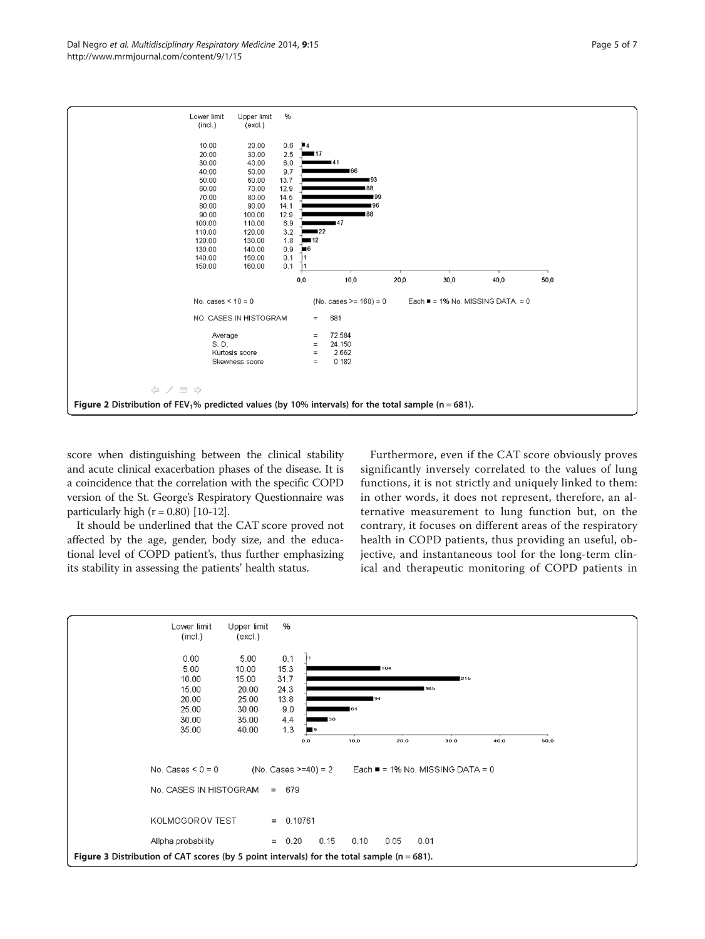<span id="page-4-0"></span>

score when distinguishing between the clinical stability and acute clinical exacerbation phases of the disease. It is a coincidence that the correlation with the specific COPD version of the St. George's Respiratory Questionnaire was particularly high  $(r = 0.80)$  [\[10-12](#page-6-0)].

It should be underlined that the CAT score proved not affected by the age, gender, body size, and the educational level of COPD patient's, thus further emphasizing its stability in assessing the patients' health status.

Furthermore, even if the CAT score obviously proves significantly inversely correlated to the values of lung functions, it is not strictly and uniquely linked to them: in other words, it does not represent, therefore, an alternative measurement to lung function but, on the contrary, it focuses on different areas of the respiratory health in COPD patients, thus providing an useful, objective, and instantaneous tool for the long-term clinical and therapeutic monitoring of COPD patients in

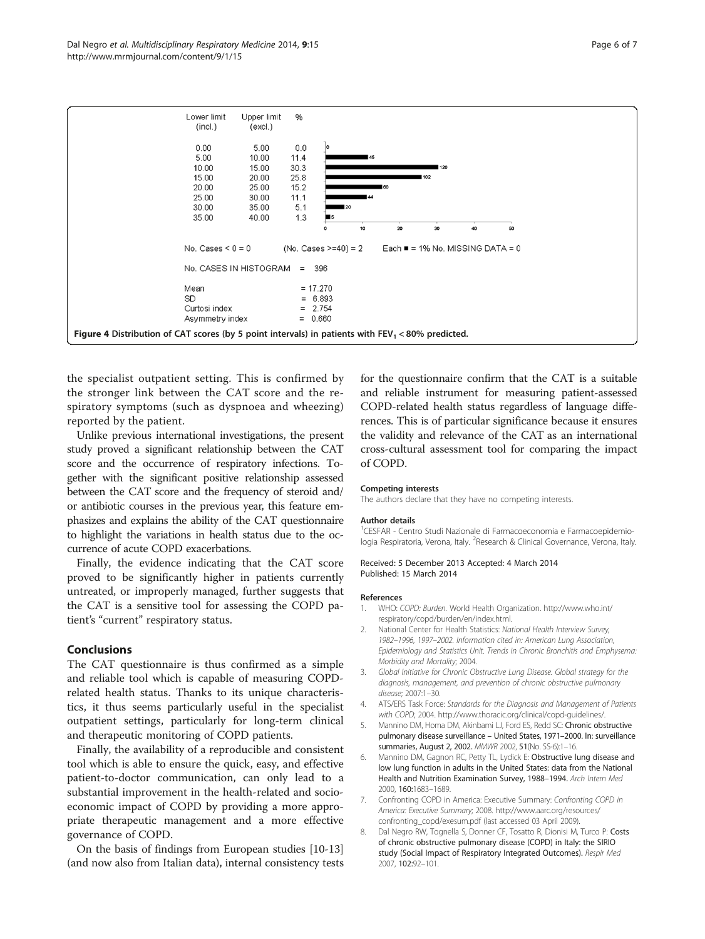<span id="page-5-0"></span>

the specialist outpatient setting. This is confirmed by the stronger link between the CAT score and the respiratory symptoms (such as dyspnoea and wheezing) reported by the patient.

Unlike previous international investigations, the present study proved a significant relationship between the CAT score and the occurrence of respiratory infections. Together with the significant positive relationship assessed between the CAT score and the frequency of steroid and/ or antibiotic courses in the previous year, this feature emphasizes and explains the ability of the CAT questionnaire to highlight the variations in health status due to the occurrence of acute COPD exacerbations.

Finally, the evidence indicating that the CAT score proved to be significantly higher in patients currently untreated, or improperly managed, further suggests that the CAT is a sensitive tool for assessing the COPD patient's "current" respiratory status.

#### Conclusions

The CAT questionnaire is thus confirmed as a simple and reliable tool which is capable of measuring COPDrelated health status. Thanks to its unique characteristics, it thus seems particularly useful in the specialist outpatient settings, particularly for long-term clinical and therapeutic monitoring of COPD patients.

Finally, the availability of a reproducible and consistent tool which is able to ensure the quick, easy, and effective patient-to-doctor communication, can only lead to a substantial improvement in the health-related and socioeconomic impact of COPD by providing a more appropriate therapeutic management and a more effective governance of COPD.

On the basis of findings from European studies [[10](#page-6-0)-[13](#page-6-0)] (and now also from Italian data), internal consistency tests

for the questionnaire confirm that the CAT is a suitable and reliable instrument for measuring patient-assessed COPD-related health status regardless of language differences. This is of particular significance because it ensures the validity and relevance of the CAT as an international cross-cultural assessment tool for comparing the impact of COPD.

#### Competing interests

The authors declare that they have no competing interests.

#### Author details

<sup>1</sup>CESFAR - Centro Studi Nazionale di Farmacoeconomia e Farmacoepidemiologia Respiratoria, Verona, Italy. <sup>2</sup>Research & Clinical Governance, Verona, Italy.

#### Received: 5 December 2013 Accepted: 4 March 2014 Published: 15 March 2014

#### References

- 1. WHO: COPD: Burden. World Health Organization. [http://www.who.int/](http://www.who.int/respiratory/copd/burden/en/index.html) [respiratory/copd/burden/en/index.html.](http://www.who.int/respiratory/copd/burden/en/index.html)
- 2. National Center for Health Statistics: National Health Interview Survey, 1982–1996, 1997–2002. Information cited in: American Lung Association, Epidemiology and Statistics Unit. Trends in Chronic Bronchitis and Emphysema: Morbidity and Mortality; 2004.
- 3. Global Initiative for Chronic Obstructive Lung Disease. Global strategy for the diagnosis, management, and prevention of chronic obstructive pulmonary disease; 2007:1–30.
- 4. ATS/ERS Task Force: Standards for the Diagnosis and Management of Patients with COPD; 2004. [http://www.thoracic.org/clinical/copd-guidelines/.](http://www.thoracic.org/clinical/copd-guidelines/)
- 5. Mannino DM, Homa DM, Akinbami LJ, Ford ES, Redd SC: Chronic obstructive pulmonary disease surveillance – United States, 1971–2000. In: surveillance summaries, August 2, 2002. MMWR 2002, 51(No. SS-6):1–16.
- 6. Mannino DM, Gagnon RC, Petty TL, Lydick E: Obstructive lung disease and low lung function in adults in the United States: data from the National Health and Nutrition Examination Survey, 1988–1994. Arch Intern Med 2000, 160:1683–1689.
- 7. Confronting COPD in America: Executive Summary: Confronting COPD in America: Executive Summary; 2008. [http://www.aarc.org/resources/](http://www.aarc.org/resources/confronting_copd/exesum.pdf) [confronting\\_copd/exesum.pdf](http://www.aarc.org/resources/confronting_copd/exesum.pdf) (last accessed 03 April 2009).
- 8. Dal Negro RW, Tognella S, Donner CF, Tosatto R, Dionisi M, Turco P: Costs of chronic obstructive pulmonary disease (COPD) in Italy: the SIRIO study (Social Impact of Respiratory Integrated Outcomes). Respir Med 2007, 102:92–101.